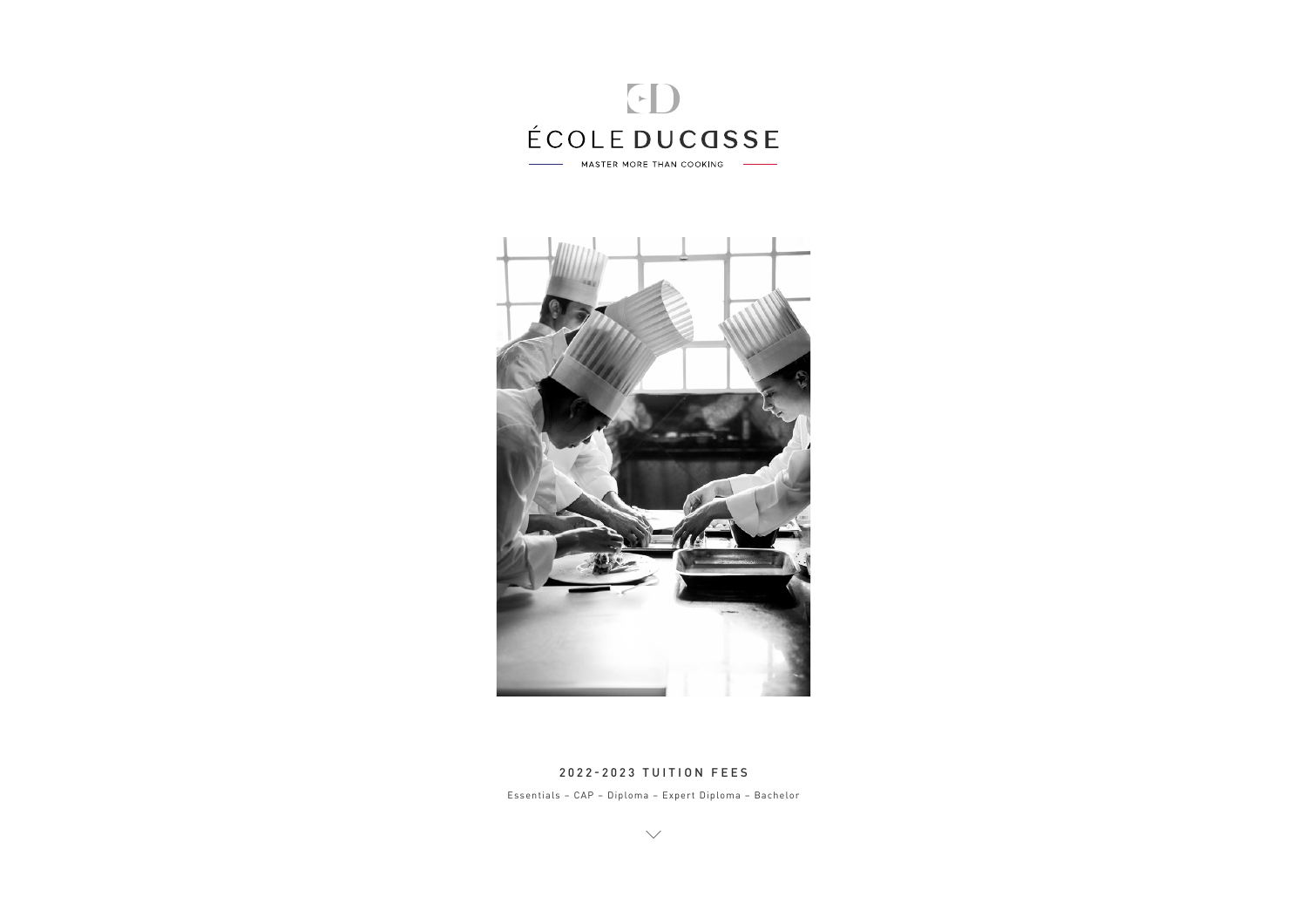



#### 2022-2023 TUITION FEES

Essentials - CAP - Diploma - Expert Diploma - Bachelor

 $\diagdown$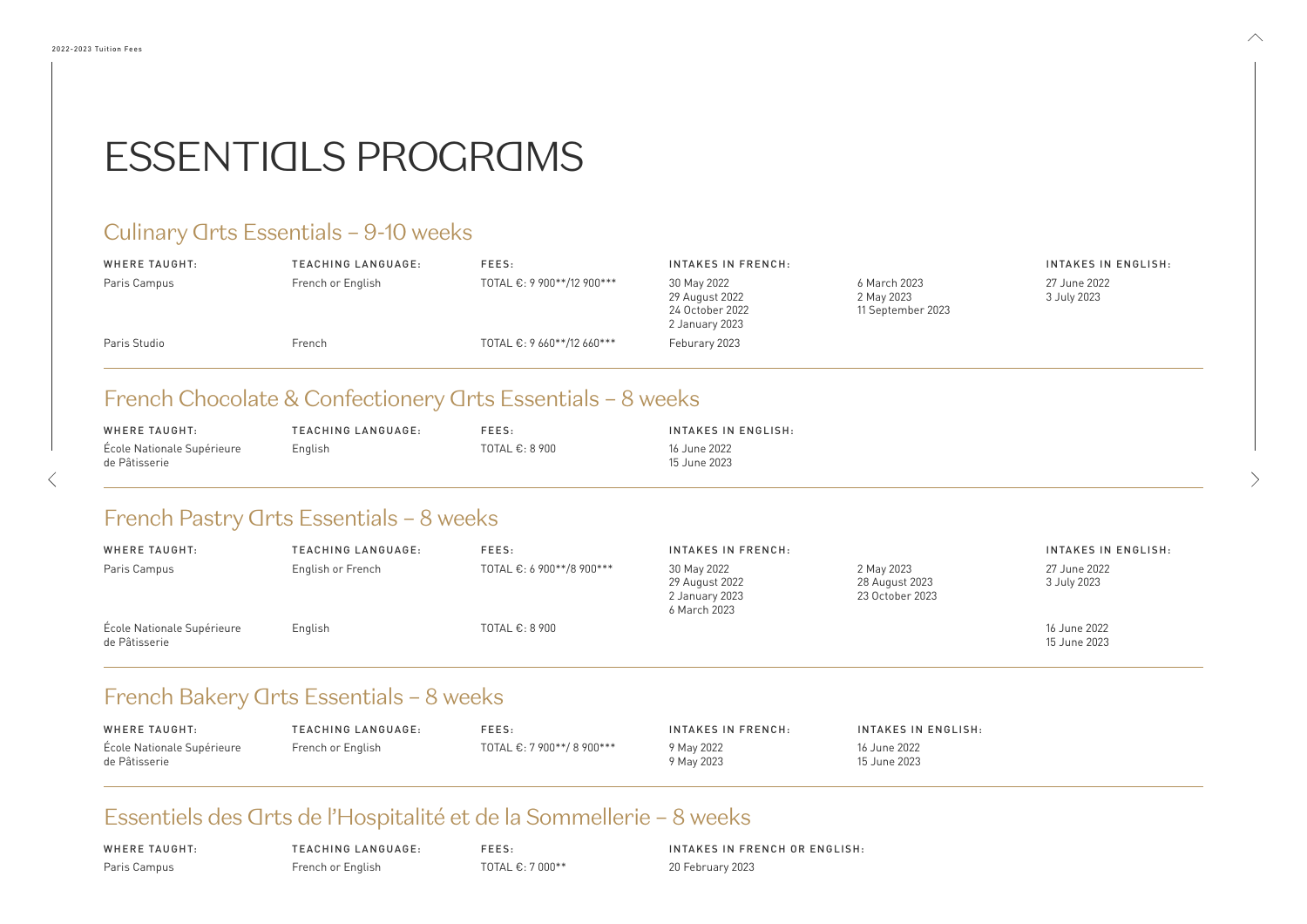| WHERE TAUGHT:              | TEACHING LANGUAGE: | FEES:                     | INTAKES IN FRENCH: | INTAKES IN   |
|----------------------------|--------------------|---------------------------|--------------------|--------------|
| École Nationale Supérieure | French or English  | TOTAL €: 7 900**/8 900*** | 9 May 2022         | 16 June 2022 |
| de Pâtisserie              |                    |                           | 9 May 2023         | 15 June 2023 |

### Essentiels des Arts de l'Hospitalité et de la Sommellerie - 8 weeks

| WHERE TAUGHT:                               | TEACHING LANGUAGE: | FEES:                    | INTAKES IN ENGLISH:            |
|---------------------------------------------|--------------------|--------------------------|--------------------------------|
| École Nationale Supérieure<br>de Pâtisserie | English            | TOTAL $\epsilon$ : 8 900 | 16 June 2022<br>- 15 June 2023 |

### French Pastry Orts Essentials - 8 weeks

WHERE TAUGHT: Paris Campus

TEACHING LANGUAGE: French or English

FEES: TOTAL €: 7 000\*\* INTAKES IN FRENCH OR ENGLISH: 20 February 2023

ENGLISH:

| WHERE TAUGHT:                               | <b>TEACHING LANGUAGE:</b> | FEES:                     | <b>INTAKES IN FRENCH:</b>                                       |                                                 | <b>INTAKES IN</b>            |
|---------------------------------------------|---------------------------|---------------------------|-----------------------------------------------------------------|-------------------------------------------------|------------------------------|
| Paris Campus                                | English or French         | TOTAL €: 6 900**/8 900*** | 30 May 2022<br>29 August 2022<br>2 January 2023<br>6 March 2023 | 2 May 2023<br>28 August 2023<br>23 October 2023 | 27 June 2022<br>3 July 2023  |
| École Nationale Supérieure<br>de Pâtisserie | English                   | TOTAL $\epsilon$ : 8 900  |                                                                 |                                                 | 16 June 2022<br>15 June 2023 |

### French Bakery Arts Essentials - 8 weeks

#### INTAKES IN ENGLISH:

#### INTAKES IN ENGLISH:

 $\wedge$ 

27 June 2022 3 July 2023

2023

| WHERE TAUGHT: | TEACHING LANGUAGE: | FEES:                      | <b>INTAKES IN FRENCH:</b>                                          |                                             |
|---------------|--------------------|----------------------------|--------------------------------------------------------------------|---------------------------------------------|
| Paris Campus  | French or English  | TOTAL €: 9 900**/12 900*** | 30 May 2022<br>29 August 2022<br>24 October 2022<br>2 January 2023 | 6 March 2023<br>2 May 2023<br>11 September: |
| Paris Studio  | French             | TOTAL €: 9 660**/12 660*** | Feburary 2023                                                      |                                             |

### French Chocolate & Confectionery Arts Essentials - 8 weeks

# ESSENTIALS PROGRAMS

### Culinary *Orts* Essentials - 9-10 weeks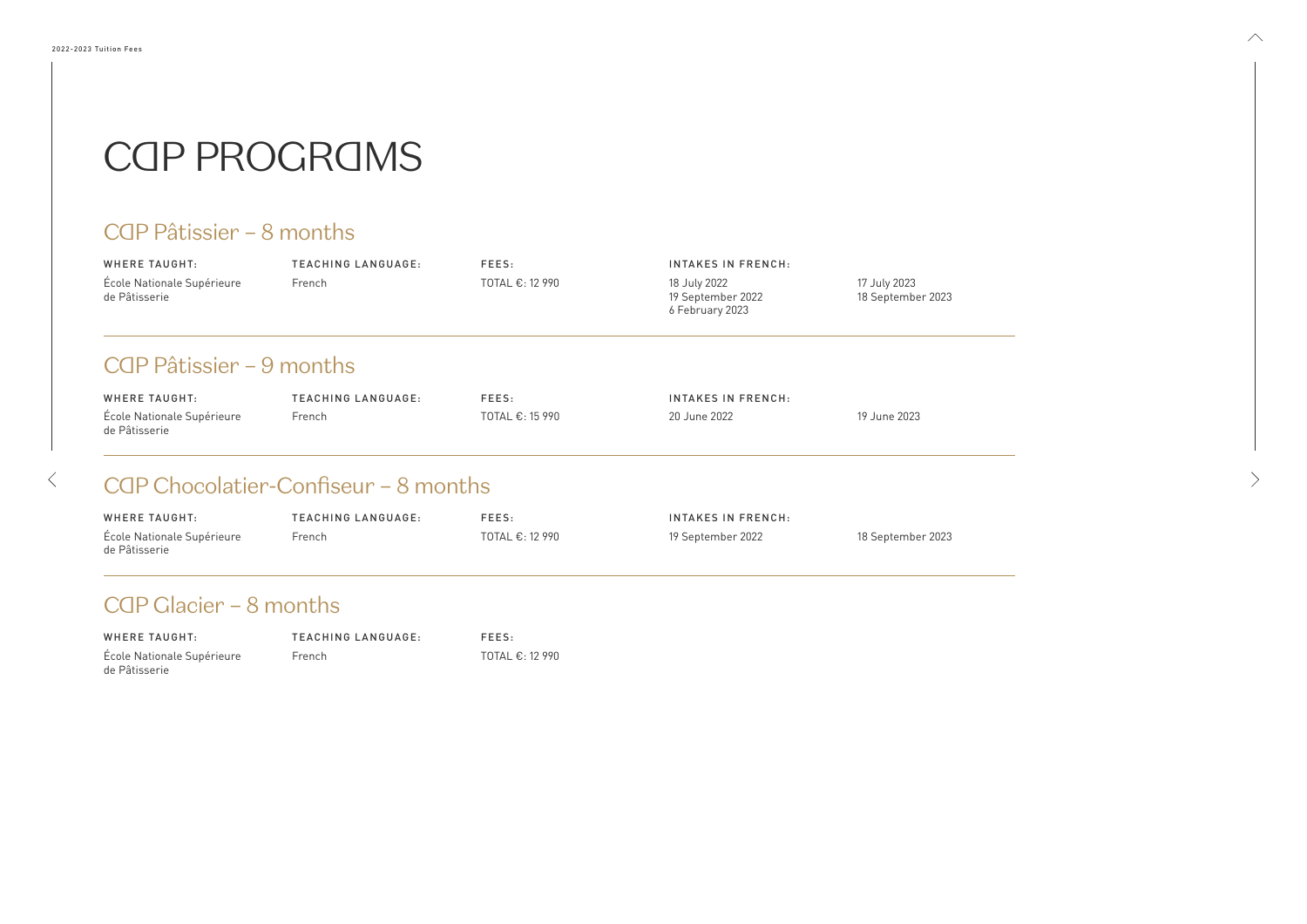| <b>WHERE TAUGHT:</b>                             | <b>TEACHING LANGUAGE:</b> | FEES:           | INTAKES IN FRENCH:                                   |                                |
|--------------------------------------------------|---------------------------|-----------------|------------------------------------------------------|--------------------------------|
| École Nationale Supérieure<br>de Pâtisserie      | French                    | TOTAL €: 12 990 | 18 July 2022<br>19 September 2022<br>6 February 2023 | 17 July 2023<br>18 September 2 |
| CQP Pâtissier – 9 months<br><b>WHERE TAUGHT:</b> | <b>TEACHING LANGUAGE:</b> | FEES:           | <b>INTAKES IN FRENCH:</b>                            |                                |
| École Nationale Supérieure                       | French                    | TOTAL €: 15 990 | 20 June 2022                                         | 19 June 2023                   |

### CGP Chocolatier-Confiseur – 8 months

| WHERE TAUGHT:              | TEACHING LANGUAGE: | FEES:                     |
|----------------------------|--------------------|---------------------------|
| École Nationale Supérieure | <b>French</b>      | TOTAL $\epsilon$ : 12 990 |
| de Pâtisserie              |                    |                           |

2023

 $\wedge$ 

| WHERE TAUGHT:                               | TEACHING LANGUAGE: | FEES:                     | INTAKES IN FRENCH: |                   |
|---------------------------------------------|--------------------|---------------------------|--------------------|-------------------|
| École Nationale Supérieure<br>de Pâtisserie | French             | TOTAL $\epsilon$ : 12 990 | 19 September 2022  | 18 September 2023 |

### CGP Glacier - 8 months

 $\left\langle \right\rangle$ 

### CAP PROGRAMS

### CQP Pâtissier – 8 months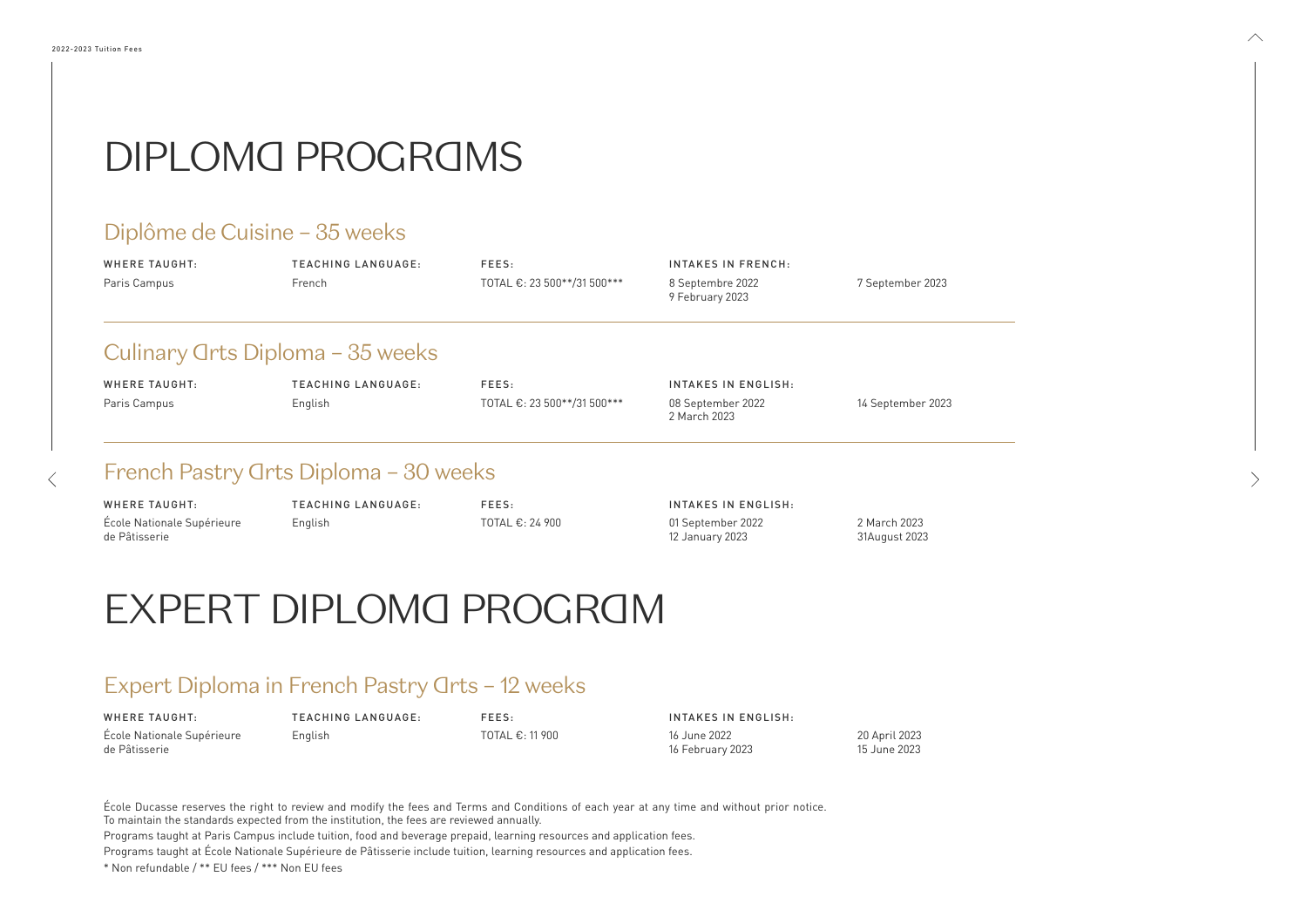| WHERE TAUGHT: | TEACHING LANGUAGE: | FEES:                       | INTAKES IN FRENCH:                  |                |
|---------------|--------------------|-----------------------------|-------------------------------------|----------------|
| Paris Campus  | French             | TOTAL €: 23 500**/31 500*** | 8 Septembre 2022<br>9 February 2023 | 7 September 20 |

### Culinary *Grts Diploma - 35 weeks*

### Diplôme de Cuisine – 35 weeks

| WHERE TAUGHT: | TEACHING LANGUAGE: | FEES:                       | INTAKES IN ENGLISH:               |                |
|---------------|--------------------|-----------------------------|-----------------------------------|----------------|
| Paris Campus  | English            | TOTAL €: 23 500**/31 500*** | 08 September 2022<br>2 March 2023 | 14 September : |

### French Pastry Arts Diploma - 30 weeks

| WHERE TAUGHT:              | TEACHING LANGUAGE: | FEES:                     | INTAKES IN ENGLISH: |               |
|----------------------------|--------------------|---------------------------|---------------------|---------------|
| École Nationale Supérieure | English            | TOTAL $\epsilon$ : 11 900 | 16 June 2022        | 20 April 2023 |
| de Pâtisserie              |                    |                           | 16 February 2023    | 15 June 2023  |

| WHERE TAUGHT:              | TEACHING LANGUAGE: | FEES:                     | INTAKES IN ENGLISH: |               |
|----------------------------|--------------------|---------------------------|---------------------|---------------|
| École Nationale Supérieure | English            | TOTAL $\epsilon$ : 24 900 | 01 September 2022   | 2 March 2023  |
| de Pâtisserie              |                    |                           | 12 January 2023     | 31August 2023 |

# EXPERT DIPLOMA PROGRAM

### Expert Diploma in French Pastry Grts - 12 weeks

École Ducasse reserves the right to review and modify the fees and Terms and Conditions of each year at any time and without prior notice. To maintain the standards expected from the institution, the fees are reviewed annually.

Programs taught at Paris Campus include tuition, food and beverage prepaid, learning resources and application fees.

Programs taught at École Nationale Supérieure de Pâtisserie include tuition, learning resources and application fees.

\* Non refundable / \*\* EU fees / \*\*\* Non EU fees

023

 $\wedge$ 

20 23

 $\langle$ 

# DIPLOMA PROGRAMS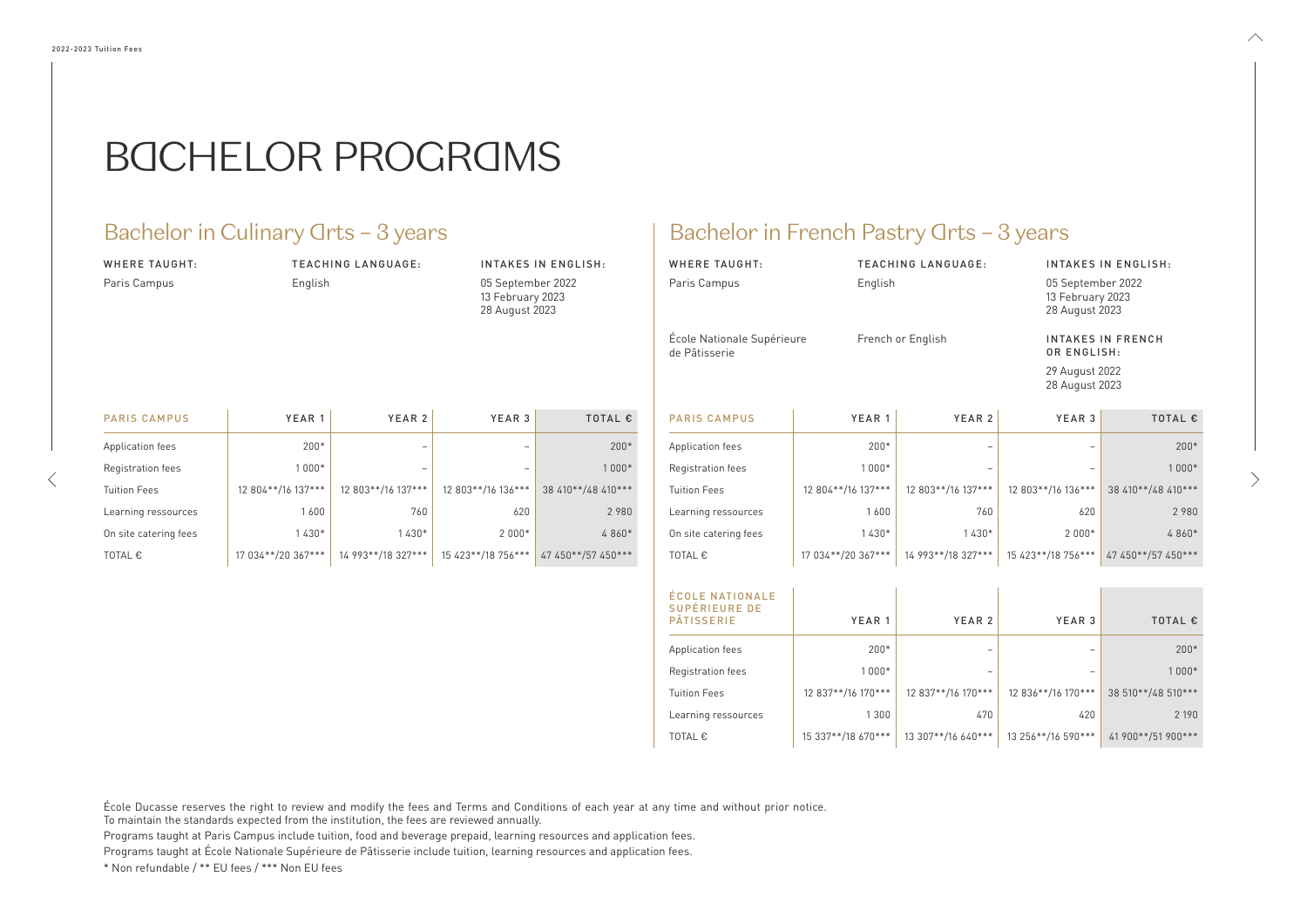#### WHERE TAUGHT: Paris Campus

TEACHING LANGUAGE: English

#### INTAKES IN ENGLISH:

05 September 2022 13 February 2023 28 August 2023

### Bachelor in Culinary Grts - 3 years Bachelor in French Pastry Grts - 3 years

| <b>WHERE TAUGHT:</b>                        | <b>TEACHING LANGUAGE:</b> | <b>INTAKES IN ENGLISH:</b>                              |
|---------------------------------------------|---------------------------|---------------------------------------------------------|
| Paris Campus                                | English                   | 05 September 2022<br>13 February 2023<br>28 August 2023 |
| École Nationale Supérieure<br>de Pâtisserie | French or English         | <b>INTAKES IN FRENCH</b><br>OR ENGLISH:                 |
|                                             |                           | 29 August 2022                                          |

29 August 2022 28 August 2023  $\wedge$ 

| <b>PARIS CAMPUS</b>   | YEAR 1             | YEAR <sub>2</sub>  | YEAR <sub>3</sub>  | <b>TOTAL €</b>     |
|-----------------------|--------------------|--------------------|--------------------|--------------------|
| Application fees      | $200*$             |                    |                    | $200*$             |
| Registration fees     | $1000*$            |                    |                    | 1 000*             |
| <b>Tuition Fees</b>   | 12 804**/16 137*** | 12 803**/16 137*** | 12 803**/16 136*** | 38 410**/48 410*** |
| Learning ressources   | 1600               | 760                | 620                | 2 9 8 0            |
| On site catering fees | 1430*              | 1430*              | $2000*$            | 4 860*             |
| TOTAL €               | 17 034**/20 367*** | 14 993**/18 327*** | 15 423**/18 756*** | 47 450**/57 450*** |

| <b>PARIS CAMPUS</b>   | YEAR 1             | YEAR 2             | YEAR 3             | <b>TOTAL €</b>     |
|-----------------------|--------------------|--------------------|--------------------|--------------------|
| Application fees      | $200*$             |                    |                    | $200*$             |
| Registration fees     | $1000*$            |                    |                    | $1000*$            |
| Tuition Fees          | 12 804**/16 137*** | 12 803**/16 137*** | 12 803**/16 136*** | 38 410**/48 410*** |
| Learning ressources   | 1600               | 760                | 620                | 2 9 8 0            |
| On site catering fees | $1430*$            | $1430*$            | $2000*$            | 4 860*             |
| TOTAL €               | 17 034**/20 367*** | 14 993**/18 327*** | 15 423**/18 756*** | 47 450**/57 450*** |

| <b>ÉCOLE NATIONALE</b><br><b>SUPÉRIEURE DE</b><br><b>PÂTISSERIE</b> | YEAR <sub>1</sub>  | YEAR 2             | YEAR 3             | TOTAL €            |
|---------------------------------------------------------------------|--------------------|--------------------|--------------------|--------------------|
| Application fees                                                    | $200*$             |                    |                    | $200*$             |
| Registration fees                                                   | $1000*$            |                    |                    | $1000*$            |
| <b>Tuition Fees</b>                                                 | 12 837**/16 170*** | 12 837**/16 170*** | 12 836**/16 170*** | 38 510**/48 510*** |
| Learning ressources                                                 | 1300               | 470                | 420                | 2 1 9 0            |
| TOTAL $\epsilon$                                                    | 15 337**/18 670*** | 13 307**/16 640*** | 13 256**/16 590*** | 41 900**/51 900*** |

École Ducasse reserves the right to review and modify the fees and Terms and Conditions of each year at any time and without prior notice.

To maintain the standards expected from the institution, the fees are reviewed annually.

Programs taught at Paris Campus include tuition, food and beverage prepaid, learning resources and application fees.

Programs taught at École Nationale Supérieure de Pâtisserie include tuition, learning resources and application fees.

\* Non refundable / \*\* EU fees / \*\*\* Non EU fees

# BACHELOR PROGRAMS